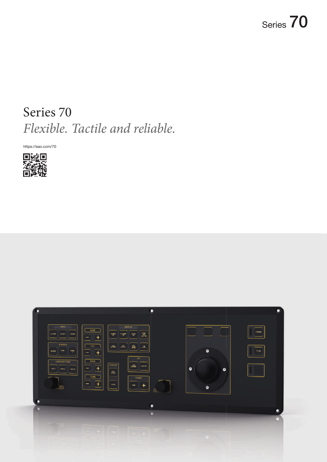# Series 70  *Flexible. Tactile and reliable.*

https://eao.com/70



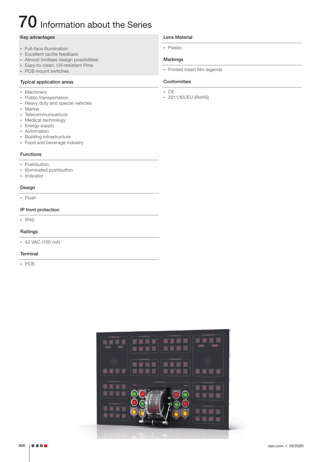# 70 Information about the Series

### Key advantages

- § Full-face illumination
- § Excellent tactile feedback
- § Almost limitless design possibilities
- **Easy-to-clean, UV-resistant films**
- PCB mount switches

## Typical application areas

- § Machinery
- § Public transportation
- § Heavy duty and special vehicles
- § Marine
- § Telecommunications
- § Medical technology
- § Energy supply
- § Automation
- § Building infrastructure
- § Food and beverage industry

### Functions

- § Pushbutton
- § Illuminated pushbutton
- § Indicator

### Design

§ Flush

### IP front protection

§ IP40

### Raitings

§ 42 VAC (100 mA)

### **Terminal**

§ PCB

### Lens Material

§ Plastic

### Markings

• Printed insert film legends

### Conformities

- § CE
- § 2011/65/EU (RoHS)

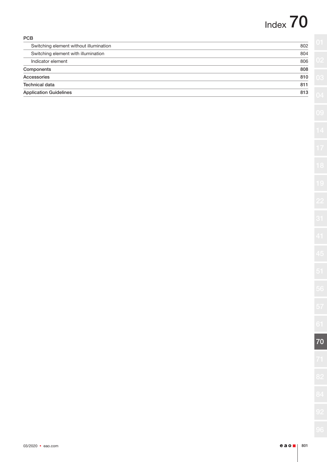# Index 70

| <b>PCB</b>                             |     |
|----------------------------------------|-----|
| Switching element without illumination | 802 |
| Switching element with illumination    | 804 |
| Indicator element                      | 806 |
| Components                             | 808 |
| Accessories                            | 810 |
| <b>Technical data</b>                  | 811 |
| <b>Application Guidelines</b>          | 813 |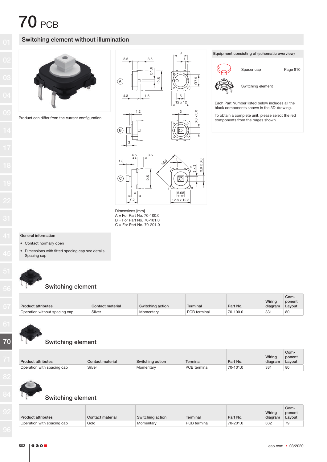## Switching element without illumination



Product can differ from the current configuration.







 Dimensions [mm] A = For Part No. 70-100.0

 $B = For Part No. 70-101.0$ C = For Part No. 70-201.0 Equipment consisting of (schematic overview)



Spacer cap Page 810

Switching element

 Each Part Number listed below includes all the black components shown in the 3D-drawing.

 To obtain a complete unit, please select the red components from the pages shown.

### General information

• Contact normally open

Dimensions with fitted spacing cap see details Spacing cap



### Switching element

|                               |                  |                  |              |          | Wiring  | Com-<br>ponent |
|-------------------------------|------------------|------------------|--------------|----------|---------|----------------|
| Product attributes            | Contact material | Switching action | Terminal     | Part No. | diagram | Layout         |
| Operation without spacing cap | Silver           | Momentary        | PCB terminal | 70-100.0 | 331     | 80             |



# Switching element

|                            |                  |                  |              |          |         | Com-   |
|----------------------------|------------------|------------------|--------------|----------|---------|--------|
|                            |                  |                  |              |          | Wiring  | ponent |
| <b>Product attributes</b>  | Contact material | Switching action | Terminal     | Part No. | diagram | Lavout |
| Operation with spacing cap | Silver           | Momentary        | PCB terminal | 70-101.0 | $33 -$  | 80     |



## Switching element

| <b>Product attributes</b>  | Contact material | Switching action | <b>Terminal</b> | Part No. | Wiring<br>diagram | Com-<br>ponent<br>Layout |
|----------------------------|------------------|------------------|-----------------|----------|-------------------|--------------------------|
| Operation with spacing cap | Gold             | Momentary        | PCB terminal    | 70-201.0 | 332               | 79                       |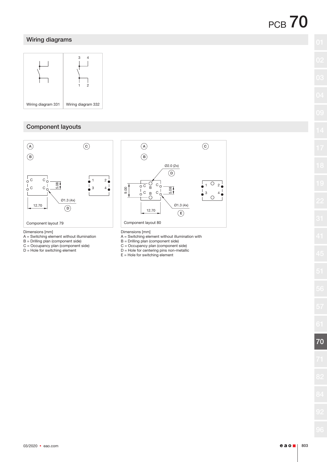# Wiring diagrams



# Component layouts



- A = Switching element without illumination
- B = Drilling plan (component side)
- C = Occupancy plan (component side)
- D = Hole for switching element

 $A$  ) (C Ø2.0 (2x)  $\odot$  $\circ$  $\bigcirc$ 2 1 5.08  $C_Q^+$ 3 4  $\bullet$  $\bigcap$ Ø1.3 (4x)  $\left( \mathsf{E}\right)$ 

- A = Switching element without illumination with
- B = Drilling plan (component side)
- C = Occupancy plan (component side)
- D = Hole for centering pins non-metallic
- $E =$  Hole for switching element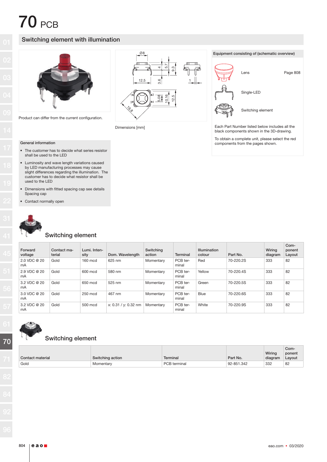### Switching element with illumination



Product can differ from the current configuration.



Dimensions [mm]



 To obtain a complete unit, please select the red components from the pages shown.

### General information

- The customer has to decide what series resistor shall be used to the LED
- Luminosity and wave length variations caused by LED manufacturing processes may cause slight differences regarding the illumination. The customer has to decide what resistor shall be used to the LED
- Dimensions with fitted spacing cap see details Spacing cap
- Contact normally open



### Switching element

| Forward<br>voltage | Contact ma-<br>terial | Lumi. Inten-<br>sity | Dom. Wavelength      | Switching<br>action | Terminal          | <b>Illumination</b><br>colour | Part No.  | Wirina<br>diagram | Com-<br>ponent<br>Layout |
|--------------------|-----------------------|----------------------|----------------------|---------------------|-------------------|-------------------------------|-----------|-------------------|--------------------------|
| 2.0 VDC @ 20<br>mA | Gold                  | 160 mcd              | 625 nm               | Momentary           | PCB ter-<br>minal | Red                           | 70-220.2S | 333               | 82                       |
| 2.9 VDC @ 20<br>mA | Gold                  | 600 mcd              | 580 nm               | Momentary           | PCB ter-<br>minal | Yellow                        | 70-220.4S | 333               | 82                       |
| 3.2 VDC @ 20<br>mA | Gold                  | 650 mcd              | 525 nm               | Momentary           | PCB ter-<br>minal | Green                         | 70-220.5S | 333               | 82                       |
| 3.0 VDC @ 20<br>mA | Gold                  | 250 mcd              | 467 nm               | Momentary           | PCB ter-<br>minal | <b>Blue</b>                   | 70-220.6S | 333               | 82                       |
| 3.2 VDC @ 20<br>mA | Gold                  | 500 mcd              | x: 0.31 / y: 0.32 nm | Momentary           | PCB ter-<br>minal | White                         | 70-220.9S | 333               | 82                       |



### Switching element

|                  |                  |              |            |               | Com-                                  |
|------------------|------------------|--------------|------------|---------------|---------------------------------------|
|                  |                  |              |            | <b>Wiring</b> | ponent                                |
| Contact material | Switching action | Terminal     | Part No.   | diagram       | Layout                                |
| Gold             | Momentary        | PCB terminal | 92-851.342 | 332           | 82<br>the contract of the contract of |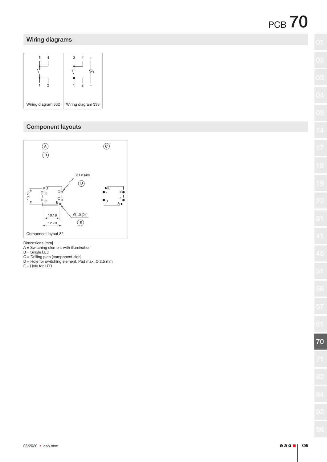# Wiring diagrams



# Component layouts



Dimensions [mm]

- A = Switching element with illumination
- B = Single LED
- C = Drilling plan (component side)
- D = Hole for switching element, Pad max. Ø 2.5 mm
- E = Hole for LED

70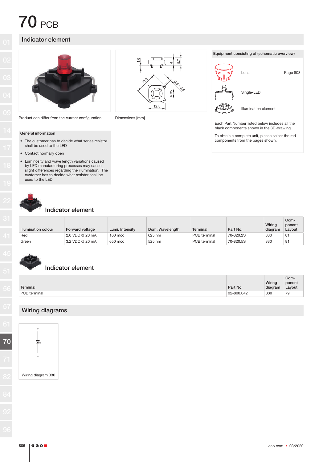# Indicator element



Product can differ from the current configuration. Dimensions [mm]





 Each Part Number listed below includes all the black components shown in the 3D-drawing.

 To obtain a complete unit, please select the red components from the pages shown.

### General information

- The customer has to decide what series resistor shall be used to the LED
- Contact normally open
- Luminosity and wave length variations caused by LED manufacturing processes may cause slight differences regarding the illumination. The customer has to decide what resistor shall be used to the LED



### Indicator element

Indicator element

|                     |                 |                 |                 |              |           | Wiring  | Com-<br>ponent |
|---------------------|-----------------|-----------------|-----------------|--------------|-----------|---------|----------------|
| Illumination colour | Forward voltage | Lumi, Intensity | Dom. Wavelength | Terminal     | Part No.  | diagram | Layout         |
| Red                 | 2.0 VDC @ 20 mA | 160 mcd         | 625 nm          | PCB terminal | 70-820.2S | 330     | 8 <sup>1</sup> |
| Green               | 3.2 VDC @ 20 mA | 650 mcd         | 525 nm          | PCB terminal | 70-820.5S | 330     | 81             |

|              |            |         | Com-   |
|--------------|------------|---------|--------|
|              |            | Wiring  | ponent |
| Terminal     | Part No.   | diagram | Layout |
| PCB terminal | 92-800.042 | 330     | 79     |

# Wiring diagrams

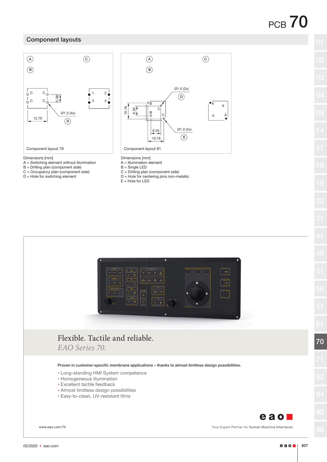## Component layouts



#### Dimensions [mm]

- A = Switching element without illumination
- B = Drilling plan (component side)
- C = Occupancy plan (component side)
- D = Hole for switching element



- Dimensions [mm]
- A = Illumination element
- B = Single LED
- C = Drilling plan (component side)
- D = Hole for centering pins non-metallic
- E = Hole for LED



www.eao.com/70

Your Expert Partner for Human Machine Interfaces

70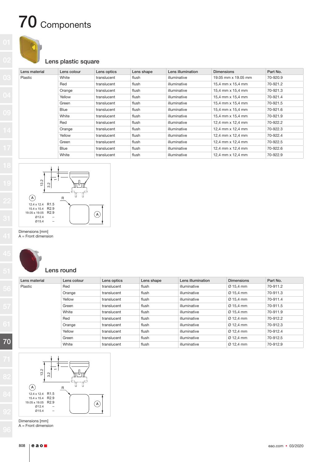# 70 Components



### Lens plastic square

| Lens material | Lens colour | Lens optics | Lens shape | Lens illumination | <b>Dimensions</b>        | Part No. |
|---------------|-------------|-------------|------------|-------------------|--------------------------|----------|
| Plastic       | White       | translucent | flush      | illuminative      | 19.05 mm x 19.05 mm      | 70-920.9 |
|               | Red         | translucent | flush      | illuminative      | 15.4 mm x 15.4 mm        | 70-921.2 |
|               | Orange      | translucent | flush      | illuminative      | 15,4 mm x 15,4 mm        | 70-921.3 |
|               | Yellow      | translucent | flush      | illuminative      | 15.4 mm x 15.4 mm        | 70-921.4 |
|               | Green       | translucent | flush      | illuminative      | 15,4 mm x 15,4 mm        | 70-921.5 |
|               | <b>Blue</b> | translucent | flush      | illuminative      | 15,4 mm x 15,4 mm        | 70-921.6 |
|               | White       | translucent | flush      | illuminative      | 15,4 mm x 15,4 mm        | 70-921.9 |
|               | Red         | translucent | flush      | illuminative      | 12,4 mm x 12,4 mm        | 70-922.2 |
|               | Orange      | translucent | flush      | illuminative      | 12,4 mm x 12,4 mm        | 70-922.3 |
|               | Yellow      | translucent | flush      | illuminative      | 12.4 mm x 12.4 mm        | 70-922.4 |
|               | Green       | translucent | flush      | illuminative      | 12.4 mm $\times$ 12.4 mm | 70-922.5 |
|               | Blue        | translucent | flush      | illuminative      | 12,4 mm x 12,4 mm        | 70-922.6 |
|               | White       | translucent | flush      | illuminative      | 12,4 mm x 12,4 mm        | 70-922.9 |



 Dimensions [mm] A = Front dimension

70

## Lens round

| Lens material | Lens colour | Lens optics | Lens shape | Lens illumination | <b>Dimensions</b>     | Part No. |
|---------------|-------------|-------------|------------|-------------------|-----------------------|----------|
| Plastic       | Red         | translucent | flush      | illuminative      | $\varnothing$ 15.4 mm | 70-911.2 |
|               | Orange      | translucent | flush      | illuminative      | Ø 15.4 mm             | 70-911.3 |
|               | Yellow      | translucent | flush      | illuminative      | Ø 15.4 mm             | 70-911.4 |
|               | Green       | translucent | flush      | illuminative      | Ø 15.4 mm             | 70-911.5 |
|               | White       | translucent | flush      | illuminative      | Ø 15.4 mm             | 70-911.9 |
|               | Red         | translucent | flush      | illuminative      | $\varnothing$ 12.4 mm | 70-912.2 |
|               | Orange      | translucent | flush      | illuminative      | $\varnothing$ 12.4 mm | 70-912.3 |
|               | Yellow      | translucent | flush      | illuminative      | $\varnothing$ 12.4 mm | 70-912.4 |
|               | Green       | translucent | flush      | illuminative      | $\varnothing$ 12.4 mm | 70-912.5 |
|               | White       | translucent | flush      | illuminative      | $\varnothing$ 12.4 mm | 70-912.9 |



Dimensions [mm]

A = Front dimension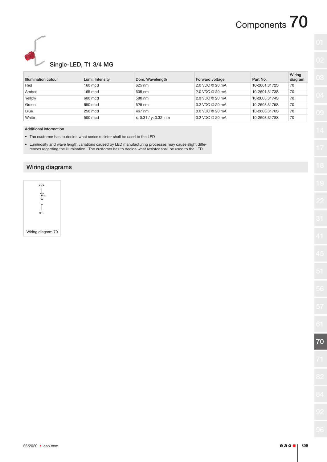# Components 70



# Single-LED, T1 3/4 MG

|                     |                   |                      |                 |               | Wiring  |
|---------------------|-------------------|----------------------|-----------------|---------------|---------|
| Illumination colour | Lumi. Intensity   | Dom. Wavelength      | Forward voltage | Part No.      | diagram |
| Red                 | $160 \text{ mod}$ | 625 nm               | 2.0 VDC @ 20 mA | 10-2601.3172S | 70      |
| Amber               | $165 \text{ mod}$ | 605 nm               | 2.0 VDC @ 20 mA | 10-2601.3173S | 70      |
| Yellow              | 600 mcd           | 580 nm               | 2.9 VDC @ 20 mA | 10-2603.3174S | 70      |
| Green               | 650 mcd           | 525 nm               | 3.2 VDC @ 20 mA | 10-2603.3175S | 70      |
| <b>Blue</b>         | 250 mcd           | 467 nm               | 3.0 VDC @ 20 mA | 10-2603.3176S | 70      |
| White               | 500 mcd           | x: 0.31 / y: 0.32 nm | 3.2 VDC @ 20 mA | 10-2603.3178S | 70      |

#### Additional information

- The customer has to decide what series resistor shall be used to the LED
- Luminosity and wave length variations caused by LED manufacturing processes may cause slight differences regarding the illumination. The customer has to decide what resistor shall be used to the LED

### Wiring diagrams

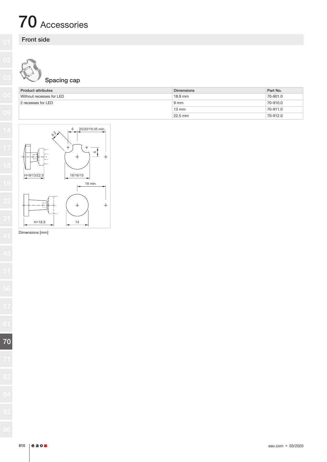# 70 Accessories

# Front side

# Spacing cap

| <b>Product attributes</b> | <b>Dimensions</b> | Part No. |
|---------------------------|-------------------|----------|
| Without recesses for LED  | $18.9$ mm         | 70-901.0 |
| 2 recesses for LED        | 9 mm              | 70-910.0 |
|                           | $13 \text{ mm}$   | 70-911.0 |
|                           | $22.5$ mm         | 70-912.0 |



Dimensions [mm]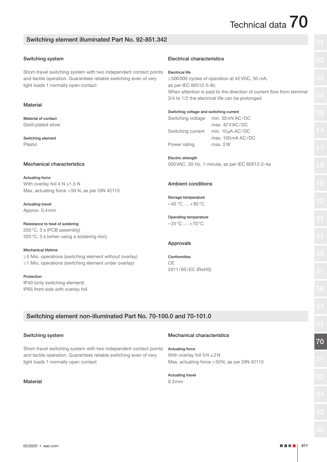# Technical data  $70$

### Switching element illuminated Part No. 92-851.342

### Switching system

Short-travel switching system with two independent contact points and tactile operation. Guarantees reliable switching even of very light loads 1 normally open contact

### **Material**

Material of contact Gold-plated silver

Switching element Plastic

#### Mechanical characteristics

Actuating force With overlay foil 4 N  $\pm$ 1.5 N Max. actuating force >50 N, as per DIN 42115

#### Actuating travel Approx. 0.4mm

### Resistance to heat of soldering

250°C, 3 s (PCB assembly) 320°C, 3 s (when using a soldering iron)

### Mechanical lifetime

≥5 Mio. operations (switching element without overlay) ≥1 Mio. operations (switching element under overlay)

Protection IP40 (only switching element) IP65 front side with overlay foil

### Electrical characteristics

Electrical life

≥500000 cycles of operation at 42VDC, 50 mA, as per IEC 60512-5-9c When attention is paid to the direction of current flow from terminal 3/4 to 1/2 the electrical life can be prolonged.

| Switching voltage and switching current |  |  |
|-----------------------------------------|--|--|

Switching voltage min. 50mVAC/DC max. 42VAC/DC Switching current min. 10μA AC/DC max. 100mA AC/DC Power rating max. 2W

### Electric strength

500VAC, 50 Hz, 1 minute, as per IEC 60512-2-4a

### Ambient conditions

Storage temperature  $-40 °C ... +85 °C$ 

Operating temperature  $-25^{\circ}$ C  $... + 70^{\circ}$ C

### Approvals

Conformities  $C<sub>F</sub>$ 2011/65/EC (RoHS)

## Switching element non-illuminated Part No. 70-100.0 and 70-101.0

### Switching system

Short-travel switching system with two independent contact points and tactile operation. Guarantees reliable switching even of very light loads 1 normally open contact

### **Material**

### Mechanical characteristics

Actuating force With overlay foil  $5N \pm 2N$ Max. actuating force >50N, as per DIN 42115

Actuating travel 0.3mm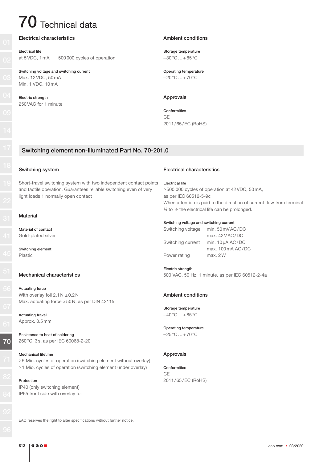# $70$  Technical data

### Electrical characteristics

### Electrical life

at 5VDC, 1mA 500000 cycles of operation

Switching voltage and switching current Max. 12VDC, 50mA Min. 1 VDC, 10mA

Electric strength 250VAC for 1 minute

### Ambient conditions

Storage temperature  $-30\degree C...+85\degree C$ 

Operating temperature  $-20\degree C...+70\degree C$ 

### Approvals

Conformities **C<sub>E</sub>** 2011/65/EC (RoHS)

### Switching element non-illuminated Part No. 70-201.0

### Switching system

Short-travel switching system with two independent contact points and tactile operation. Guarantees reliable switching even of very light loads 1 normally open contact

### **Material**

Material of contact Gold-plated silver

Switching element Plastic

### Mechanical characteristics

Actuating force With overlay foil  $2.1N \pm 0.2N$ Max. actuating force >50N, as per DIN 42115

Actuating travel Approx. 0.5mm

Resistance to heat of soldering 260°C, 3s, as per IEC 60068-2-20

#### Mechanical lifetime

≥5 Mio. cycles of operation (switching element without overlay) ≥1 Mio. cycles of operation (switching element under overlay)

Protection IP40 (only switching element) IP65 front side with overlay foil Electrical characteristics

#### Electrical life

≥500 000 cycles of operation at 42VDC, 50mA, as per IEC 60512-5-9c When attention is paid to the direction of current flow from terminal ¾ to ½ the electrical life can be prolonged.

#### Switching voltage and switching current

| Switching voltage | min. 50 mV AC/DC      |
|-------------------|-----------------------|
|                   | max. $42$ V AC/DC     |
| Switching current | min. $10 \mu A AC/DC$ |
|                   | max.100mA AC/DC       |
| Power rating      | max. 2W               |

#### Electric strength

500 VAC, 50 Hz, 1 minute, as per IEC 60512-2-4a

### Ambient conditions

Storage temperature  $-40\degree C...+85\degree C$ 

#### Operating temperature  $-25\degree C...+70\degree C$

### Approvals

#### Conformities

CE 2011/65/EC (RoHS)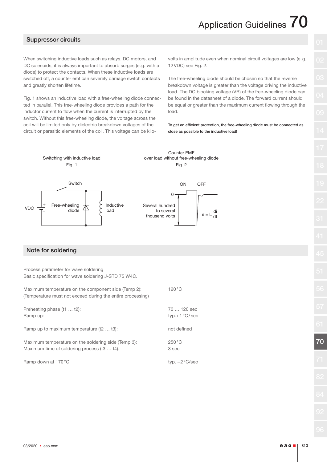# Application Guidelines  $\overline{70}$

### Suppressor circuits

When switching inductive loads such as relays, DC motors, and DC solenoids, it is always important to absorb surges (e.g. with a diode) to protect the contacts. When these inductive loads are switched off, a counter emf can severely damage switch contacts and greatly shorten lifetime.

Fig. 1 shows an inductive load with a free-wheeling diode connected in parallel. This free-wheeling diode provides a path for the inductor current to flow when the current is interrupted by the switch. Without this free-wheeling diode, the voltage across the coil will be limited only by dielectric breakdown voltages of the circuit or parasitic elements of the coil. This voltage can be kilovolts in amplitude even when nominal circuit voltages are low (e.g. 12VDC) see Fig. 2.

The free-wheeling diode should be chosen so that the reverse breakdown voltage is greater than the voltage driving the inductive load. The DC blocking voltage (VR) of the free-wheeling diode can be found in the datasheet of a diode. The forward current should be equal or greater than the maximum current flowing through the load.

To get an efficient protection, the free-wheeling diode must be connected as close as possible to the inductive load!



### Note for soldering

Process parameter for wave soldering Basic specification for wave soldering J-STD 75 W4C.

| Maximum temperature on the component side (Temp 2):<br>(Temperature must not exceed during the entire processing) | $120^{\circ}$ C               |
|-------------------------------------------------------------------------------------------------------------------|-------------------------------|
| Preheating phase (t1  t2):<br>Ramp up:                                                                            | 70  120 sec<br>$typ.+1°C/sec$ |
| Ramp up to maximum temperature (t2  t3):                                                                          | not defined                   |
| Maximum temperature on the soldering side (Temp 3):<br>Maximum time of soldering process (t3  t4):                | $250^{\circ}$ C<br>3 sec      |
| Ramp down at 170 °C:                                                                                              | typ. $-2^{\circ}$ C/sec       |